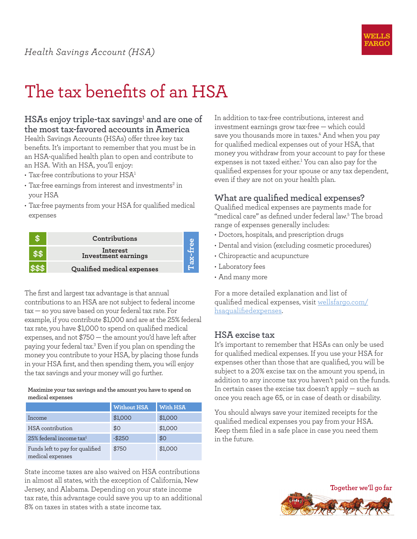

# The tax benefits of an HSA

### **HSAs enjoy triple-tax savings1 and are one of the most tax-favored accounts in America**

Health Savings Accounts (HSAs) offer three key tax benefits. It's important to remember that you must be in an HSA-qualified health plan to open and contribute to an HSA. With an HSA, you'll enjoy:

- $\cdot$  Tax-free contributions to your HSA<sup>1</sup>
- $\cdot$  Tax-free earnings from interest and investments $^2$  in your HSA
- • Tax-free payments from your HSA for qualified medical expenses

| Contributions                   |  |
|---------------------------------|--|
| Interest<br>Investment earnings |  |
| Qualified medical expenses      |  |

The first and largest tax advantage is that annual contributions to an HSA are not subject to federal income tax — so you save based on your federal tax rate. For example, if you contribute \$1,000 and are at the 25% federal tax rate, you have \$1,000 to spend on qualified medical expenses, and not \$750 — the amount you'd have left after paying your federal tax.3 Even if you plan on spending the money you contribute to your HSA, by placing those funds in your HSA first, and then spending them, you will enjoy the tax savings and your money will go further.

#### **Maximize your tax savings and the amount you have to spend on medical expenses**

|                                                     | <b>Without HSA</b> | With HSA |
|-----------------------------------------------------|--------------------|----------|
| Income                                              | \$1,000            | \$1,000  |
| HSA contribution                                    | \$0                | \$1,000  |
| $25\%$ federal income tax <sup>1</sup>              | $-$250$            | \$0      |
| Funds left to pay for qualified<br>medical expenses | \$750              | \$1,000  |

State income taxes are also waived on HSA contributions in almost all states, with the exception of California, New Jersey, and Alabama. Depending on your state income tax rate, this advantage could save you up to an additional 8% on taxes in states with a state income tax.

In addition to tax-free contributions, interest and investment earnings grow tax-free — which could save you thousands more in taxes.<sup>4</sup> And when you pay for qualified medical expenses out of your HSA, that money you withdraw from your account to pay for these expenses is not taxed either.<sup>1</sup> You can also pay for the qualified expenses for your spouse or any tax dependent, even if they are not on your health plan.

## **What are qualified medical expenses?**

Qualified medical expenses are payments made for "medical care" as defined under federal law.5 The broad range of expenses generally includes:

- • Doctors, hospitals, and prescription drugs
- Dental and vision (excluding cosmetic procedures)
- • Chiropractic and acupuncture
- Laboratory fees
- • And many more

For a more detailed explanation and list of qualified medical expenses, visit [wellsfargo.com/](https://www.wellsfargo.com/investing/hsa/qualified-expenses/) [hsaqualifiedexpenses.](https://www.wellsfargo.com/investing/hsa/qualified-expenses/)

## **HSA excise tax**

It's important to remember that HSAs can only be used for qualified medical expenses. If you use your HSA for expenses other than those that are qualified, you will be subject to a 20% excise tax on the amount you spend, in addition to any income tax you haven't paid on the funds. In certain cases the excise tax doesn't apply  $-$  such as once you reach age 65, or in case of death or disability.

You should always save your itemized receipts for the qualified medical expenses you pay from your HSA. Keep them filed in a safe place in case you need them in the future.

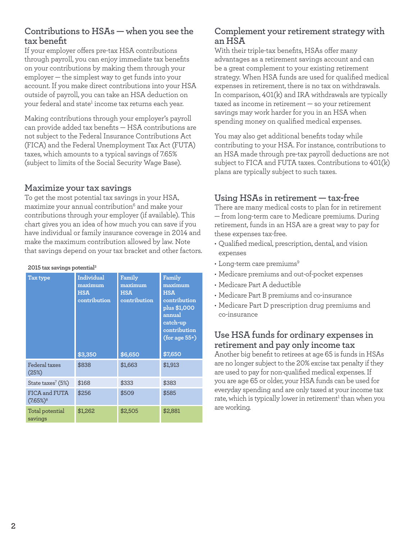## **Contributions to HSAs — when you see the tax benefit**

If your employer offers pre-tax HSA contributions through payroll, you can enjoy immediate tax benefits on your contributions by making them through your employer — the simplest way to get funds into your account. If you make direct contributions into your HSA outside of payroll, you can take an HSA deduction on your federal and state<sup>1</sup> income tax returns each year.

Making contributions through your employer's payroll can provide added tax benefits — HSA contributions are not subject to the Federal Insurance Contributions Act (FICA) and the Federal Unemployment Tax Act (FUTA) taxes, which amounts to a typical savings of 7.65% (subject to limits of the Social Security Wage Base).

## **Maximize your tax savings**

To get the most potential tax savings in your HSA, maximize your annual contribution<sup>6</sup> and make your contributions through your employer (if available). This chart gives you an idea of how much you can save if you have individual or family insurance coverage in 2014 and make the maximum contribution allowed by law. Note that savings depend on your tax bracket and other factors.

#### **2015 tax savings potential3**

| Tax type                                 | Individual<br>maximum<br><b>HSA</b><br>contribution | Family<br>maximum<br><b>HSA</b><br>contribution | Family<br>maximum<br><b>HSA</b><br>contribution<br>plus \$1,000<br>annual<br>catch-up<br>contribution<br>$(for age 55+)$ |  |  |
|------------------------------------------|-----------------------------------------------------|-------------------------------------------------|--------------------------------------------------------------------------------------------------------------------------|--|--|
|                                          | \$3,350                                             | \$6,650                                         | \$7,650                                                                                                                  |  |  |
| Federal taxes<br>(25%)                   | \$838                                               | \$1,663                                         | \$1,913                                                                                                                  |  |  |
| State taxes <sup>7</sup> (5%)            | \$168                                               | \$333                                           | \$383                                                                                                                    |  |  |
| FICA and FUTA<br>$(7.65\%)$ <sup>8</sup> | \$256                                               | \$509                                           | \$585                                                                                                                    |  |  |
| Total potential<br>savings               | \$1,262                                             | \$2,505                                         | \$2,881                                                                                                                  |  |  |

## **Complement your retirement strategy with an HSA**

With their triple-tax benefits, HSAs offer many advantages as a retirement savings account and can be a great complement to your existing retirement strategy. When HSA funds are used for qualified medical expenses in retirement, there is no tax on withdrawals. In comparison, 401(k) and IRA withdrawals are typically taxed as income in retirement — so your retirement savings may work harder for you in an HSA when spending money on qualified medical expenses.

You may also get additional benefits today while contributing to your HSA. For instance, contributions to an HSA made through pre-tax payroll deductions are not subject to FICA and FUTA taxes. Contributions to 401(k) plans are typically subject to such taxes.

# **Using HSAs in retirement — tax-free**

There are many medical costs to plan for in retirement — from long-term care to Medicare premiums. During retirement, funds in an HSA are a great way to pay for these expenses tax-free.

- • Qualified medical, prescription, dental, and vision expenses
- $\cdot$  Long-term care premiums<sup>9</sup>
- • Medicare premiums and out-of-pocket expenses
- • Medicare Part A deductible
- • Medicare Part B premiums and co-insurance
- • Medicare Part D prescription drug premiums and co-insurance

## **Use HSA funds for ordinary expenses in retirement and pay only income tax**

Another big benefit to retirees at age 65 is funds in HSAs are no longer subject to the 20% excise tax penalty if they are used to pay for non-qualified medical expenses. If you are age 65 or older, your HSA funds can be used for everyday spending and are only taxed at your income tax rate, which is typically lower in retirement<sup>1</sup> than when you are working.